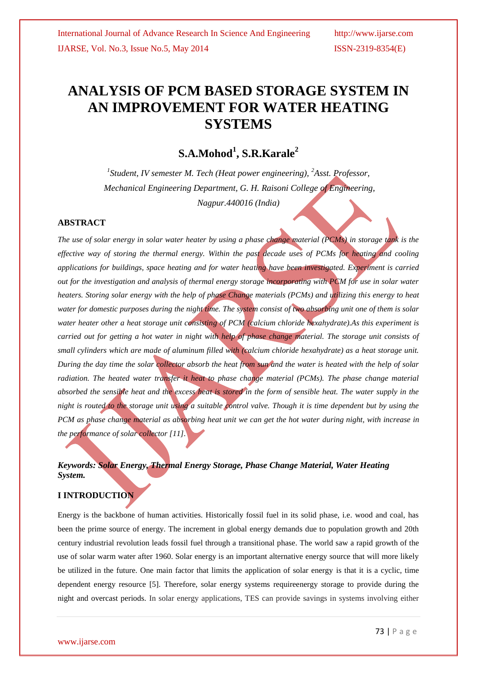# **ANALYSIS OF PCM BASED STORAGE SYSTEM IN AN IMPROVEMENT FOR WATER HEATING SYSTEMS**

**S.A.Mohod<sup>1</sup> , S.R.Karale<sup>2</sup>**

*1 Student, IV semester M. Tech (Heat power engineering), <sup>2</sup>Asst. Professor, Mechanical Engineering Department, G. H. Raisoni College of Engineering, Nagpur.440016 (India)*

# **ABSTRACT**

*The use of solar energy in solar water heater by using a phase change material (PCMs) in storage tank is the effective way of storing the thermal energy. Within the past decade uses of PCMs for heating and cooling applications for buildings, space heating and for water heating have been investigated. Experiment is carried out for the investigation and analysis of thermal energy storage incorporating with PCM for use in solar water heaters. Storing solar energy with the help of phase Change materials (PCMs) and utilizing this energy to heat water for domestic purposes during the night time. The system consist of two absorbing unit one of them is solar water heater other a heat storage unit consisting of PCM (calcium chloride hexahydrate).As this experiment is carried out for getting a hot water in night with help of phase change material. The storage unit consists of small cylinders which are made of aluminum filled with (calcium chloride hexahydrate) as a heat storage unit. During the day time the solar collector absorb the heat from sun and the water is heated with the help of solar radiation. The heated water transfer it heat to phase change material (PCMs). The phase change material absorbed the sensible heat and the excess heat is stored in the form of sensible heat. The water supply in the night is routed to the storage unit using a suitable control valve. Though it is time dependent but by using the PCM as phase change material as absorbing heat unit we can get the hot water during night, with increase in the performance of solar collector [11].*

# *Keywords: Solar Energy, Thermal Energy Storage, Phase Change Material, Water Heating System.*

# **I INTRODUCTION**

Energy is the backbone of human activities. Historically fossil fuel in its solid phase, i.e. wood and coal, has been the prime source of energy. The increment in global energy demands due to population growth and 20th century industrial revolution leads fossil fuel through a transitional phase. The world saw a rapid growth of the use of solar warm water after 1960. Solar energy is an important alternative energy source that will more likely be utilized in the future. One main factor that limits the application of solar energy is that it is a cyclic, time dependent energy resource [5]. Therefore, solar energy systems requireenergy storage to provide during the night and overcast periods. In solar energy applications, TES can provide savings in systems involving either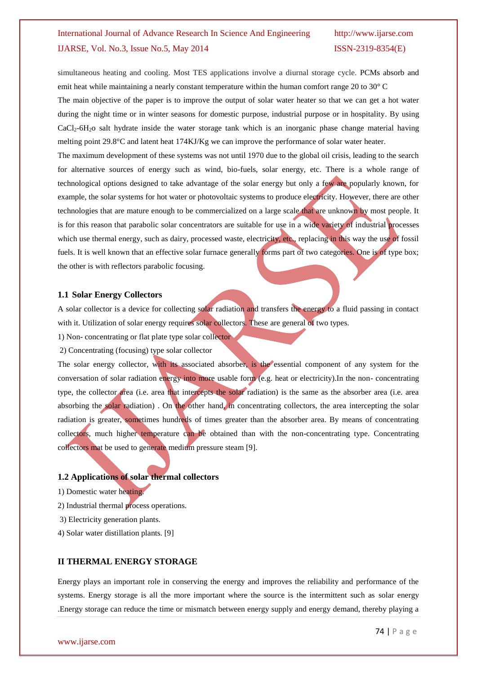simultaneous heating and cooling. Most TES applications involve a diurnal storage cycle. PCMs absorb and emit heat while maintaining a nearly constant temperature within the human comfort range 20 to 30° C

The main objective of the paper is to improve the output of solar water heater so that we can get a hot water during the night time or in winter seasons for domestic purpose, industrial purpose or in hospitality. By using CaCl2-6H2o salt hydrate inside the water storage tank which is an inorganic phase change material having melting point 29.8°C and latent heat 174KJ/Kg we can improve the performance of solar water heater.

The maximum development of these systems was not until 1970 due to the global oil crisis, leading to the search for alternative sources of energy such as wind, bio-fuels, solar energy, etc. There is a whole range of technological options designed to take advantage of the solar energy but only a few are popularly known, for example, the solar systems for hot water or photovoltaic systems to produce electricity. However, there are other technologies that are mature enough to be commercialized on a large scale that are unknown by most people. It is for this reason that parabolic solar concentrators are suitable for use in a wide variety of industrial processes which use thermal energy, such as dairy, processed waste, electricity, etc., replacing in this way the use of fossil fuels. It is well known that an effective solar furnace generally forms part of two categories. One is of type box; the other is with reflectors parabolic focusing.

### **1.1 Solar Energy Collectors**

A solar collector is a device for collecting solar radiation and transfers the energy to a fluid passing in contact with it. Utilization of solar energy requires solar collectors. These are general of two types.

1) Non- concentrating or flat plate type solar collector

2) Concentrating (focusing) type solar collector

The solar energy collector, with its associated absorber, is the essential component of any system for the conversation of solar radiation energy into more usable form (e.g. heat or electricity).In the non- concentrating type, the collector area (i.e. area that intercepts the solar radiation) is the same as the absorber area (i.e. area absorbing the solar radiation) . On the other hand, in concentrating collectors, the area intercepting the solar radiation is greater, sometimes hundreds of times greater than the absorber area. By means of concentrating collectors, much higher temperature can be obtained than with the non-concentrating type. Concentrating collectors mat be used to generate medium pressure steam [9].

### **1.2 Applications of solar thermal collectors**

1) Domestic water heating.

2) Industrial thermal process operations.

3) Electricity generation plants.

4) Solar water distillation plants. [9]

### **II THERMAL ENERGY STORAGE**

Energy plays an important role in conserving the energy and improves the reliability and performance of the systems. Energy storage is all the more important where the source is the intermittent such as solar energy .Energy storage can reduce the time or mismatch between energy supply and energy demand, thereby playing a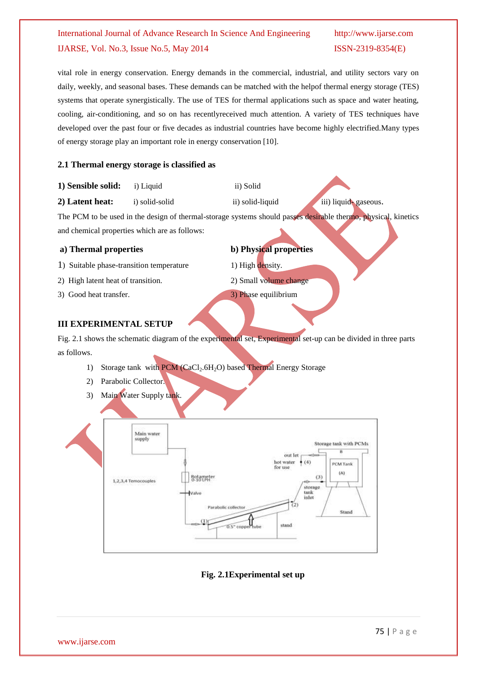vital role in energy conservation. Energy demands in the commercial, industrial, and utility sectors vary on daily, weekly, and seasonal bases. These demands can be matched with the helpof thermal energy storage (TES) systems that operate synergistically. The use of TES for thermal applications such as space and water heating, cooling, air-conditioning, and so on has recentlyreceived much attention. A variety of TES techniques have developed over the past four or five decades as industrial countries have become highly electrified.Many types of energy storage play an important role in energy conservation [10].

# **2.1 Thermal energy storage is classified as**

- **1) Sensible solid: i**) Liquid **ii**) Solid
- **2) Latent heat:** i) solid-solid ii) solid-liquid iii) liquid- gaseous.

The PCM to be used in the design of thermal-storage systems should passes desirable thermo, physical, kinetics and chemical properties which are as follows:

- 1) Suitable phase-transition temperature 1) High density.
- 2) High latent heat of transition. 2) Small volume change
- 3) Good heat transfer. 3) Phase equilibrium
- **a) Thermal properties b) Physical properties**
	-
	-

# **III EXPERIMENTAL SETUP**

Fig. 2.1 shows the schematic diagram of the experimental set, Experimental set-up can be divided in three parts as follows.

- 1) Storage tank with PCM (CaCl<sub>2</sub>.6H<sub>2</sub>O) based Thermal Energy Storage
- 2) Parabolic Collector.
- 3) Main Water Supply tank.



# **Fig. 2.1Experimental set up**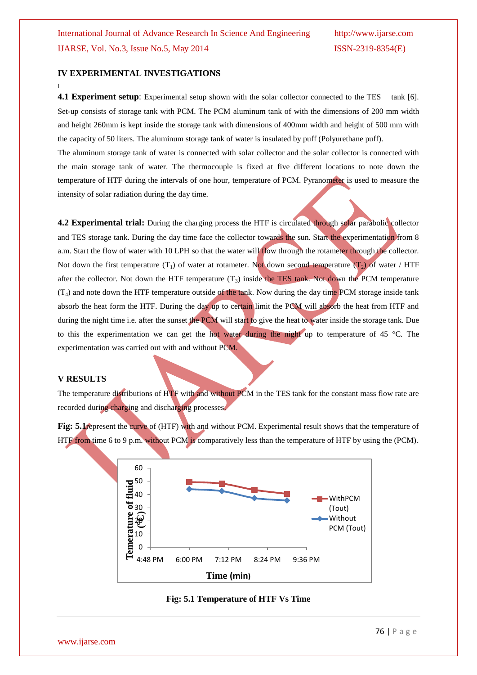### **IV EXPERIMENTAL INVESTIGATIONS**

**4.1 Experiment setup**: Experimental setup shown with the solar collector connected to the TES tank [6]. Set-up consists of storage tank with PCM. The PCM aluminum tank of with the dimensions of 200 mm width and height 260mm is kept inside the storage tank with dimensions of 400mm width and height of 500 mm with the capacity of 50 liters. The aluminum storage tank of water is insulated by puff (Polyurethane puff).

The aluminum storage tank of water is connected with solar collector and the solar collector is connected with the main storage tank of water. The thermocouple is fixed at five different locations to note down the temperature of HTF during the intervals of one hour, temperature of PCM. Pyranometer is used to measure the intensity of solar radiation during the day time.

**4.2 Experimental trial:** During the charging process the HTF is circulated through solar parabolic collector and TES storage tank. During the day time face the collector towards the sun. Start the experimentation from 8 a.m. Start the flow of water with 10 LPH so that the water will flow through the rotameter through the collector. Not down the first temperature  $(T_1)$  of water at rotameter. Not down second temperature  $(T_2)$  of water / HTF after the collector. Not down the HTF temperature  $(T_3)$  inside the TES tank. Not down the PCM temperature  $(T_4)$  and note down the HTF temperature outside of the tank. Now during the day time PCM storage inside tank absorb the heat form the HTF. During the day up to certain limit the PCM will absorb the heat from HTF and during the night time i.e. after the sunset the PCM will start to give the heat to water inside the storage tank. Due to this the experimentation we can get the hot water during the night up to temperature of 45  $^{\circ}$ C. The experimentation was carried out with and without PCM.

### **V RESULTS**

**[**

The temperature distributions of HTF with and without PCM in the TES tank for the constant mass flow rate are recorded during charging and discharging processes.

**Fig: 5.1** represent the curve of (HTF) with and without PCM. Experimental result shows that the temperature of HTF from time 6 to 9 p.m. without PCM is comparatively less than the temperature of HTF by using the (PCM).



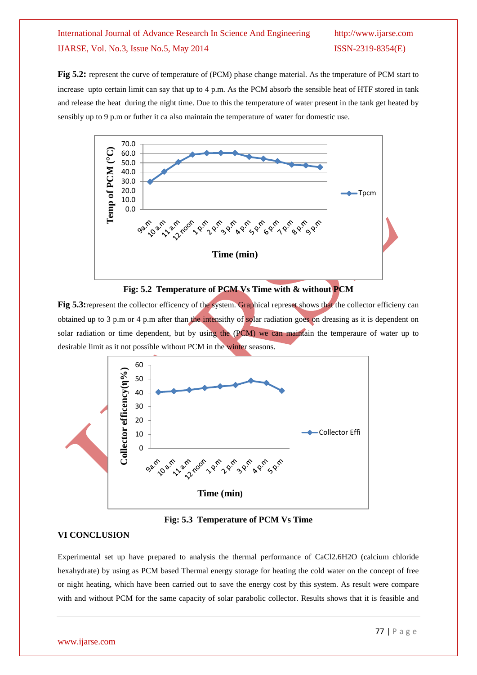Fig 5.2: represent the curve of temperature of (PCM) phase change material. As the tmperature of PCM start to increase upto certain limit can say that up to 4 p.m. As the PCM absorb the sensible heat of HTF stored in tank and release the heat during the night time. Due to this the temperature of water present in the tank get heated by sensibly up to 9 p.m or futher it ca also maintain the temperature of water for domestic use.





**Fig 5.3:** represent the collector efficency of the system. Graphical represet shows that the collector efficieny can obtained up to 3 p.m or 4 p.m after than the intensithy of solar radiation goes on dreasing as it is dependent on solar radiation or time dependent, but by using the (PCM) we can maintain the temperaure of water up to desirable limit as it not possible without PCM in the winter seasons.



**Fig: 5.3 Temperature of PCM Vs Time**

# **VI CONCLUSION**

Experimental set up have prepared to analysis the thermal performance of CaCl2.6H2O (calcium chloride hexahydrate) by using as PCM based Thermal energy storage for heating the cold water on the concept of free or night heating, which have been carried out to save the energy cost by this system. As result were compare with and without PCM for the same capacity of solar parabolic collector. Results shows that it is feasible and